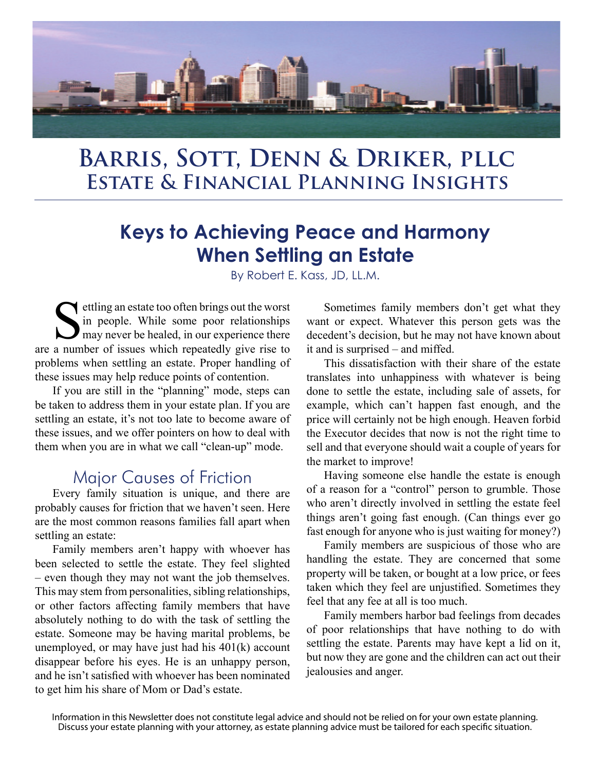

# **Estate & Financial Planning Insights Barris, Sott, Denn & Driker, pllc**

# **Keys to Achieving Peace and Harmony When Settling an Estate**

By Robert E. Kass, JD, LL.M.

settling an estate too often brings out the worst<br>in people. While some poor relationships<br>may never be healed, in our experience there<br>a number of issues which repeatedly give rise to in people. While some poor relationships may never be healed, in our experience there are a number of issues which repeatedly give rise to problems when settling an estate. Proper handling of these issues may help reduce points of contention.

If you are still in the "planning" mode, steps can be taken to address them in your estate plan. If you are settling an estate, it's not too late to become aware of these issues, and we offer pointers on how to deal with them when you are in what we call "clean-up" mode.

#### Major Causes of Friction

Every family situation is unique, and there are probably causes for friction that we haven't seen. Here are the most common reasons families fall apart when settling an estate:

Family members aren't happy with whoever has been selected to settle the estate. They feel slighted – even though they may not want the job themselves. This may stem from personalities, sibling relationships, or other factors affecting family members that have absolutely nothing to do with the task of settling the estate. Someone may be having marital problems, be unemployed, or may have just had his 401(k) account disappear before his eyes. He is an unhappy person, and he isn't satisfied with whoever has been nominated to get him his share of Mom or Dad's estate.

Sometimes family members don't get what they want or expect. Whatever this person gets was the decedent's decision, but he may not have known about it and is surprised – and miffed.

This dissatisfaction with their share of the estate translates into unhappiness with whatever is being done to settle the estate, including sale of assets, for example, which can't happen fast enough, and the price will certainly not be high enough. Heaven forbid the Executor decides that now is not the right time to sell and that everyone should wait a couple of years for the market to improve!

Having someone else handle the estate is enough of a reason for a "control" person to grumble. Those who aren't directly involved in settling the estate feel things aren't going fast enough. (Can things ever go fast enough for anyone who is just waiting for money?)

Family members are suspicious of those who are handling the estate. They are concerned that some property will be taken, or bought at a low price, or fees taken which they feel are unjustified. Sometimes they feel that any fee at all is too much.

Family members harbor bad feelings from decades of poor relationships that have nothing to do with settling the estate. Parents may have kept a lid on it, but now they are gone and the children can act out their jealousies and anger.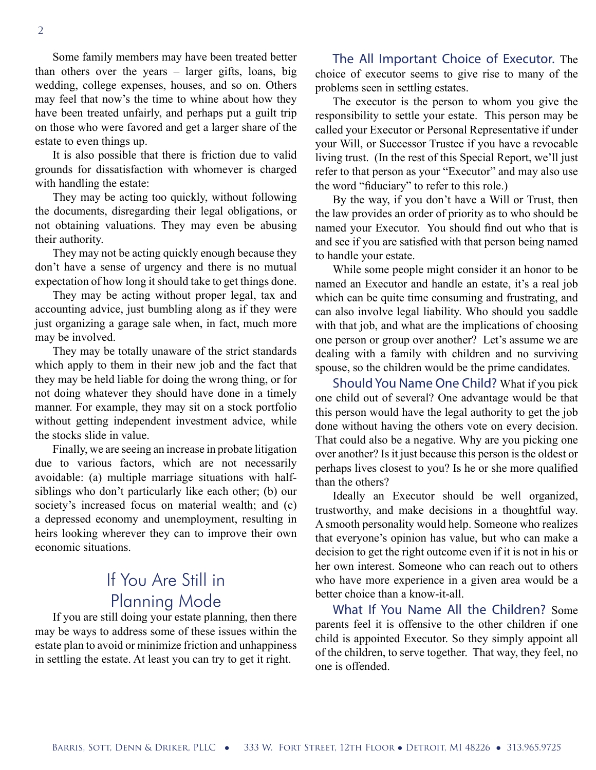Some family members may have been treated better than others over the years – larger gifts, loans, big wedding, college expenses, houses, and so on. Others may feel that now's the time to whine about how they have been treated unfairly, and perhaps put a guilt trip on those who were favored and get a larger share of the estate to even things up.

It is also possible that there is friction due to valid grounds for dissatisfaction with whomever is charged with handling the estate:

They may be acting too quickly, without following the documents, disregarding their legal obligations, or not obtaining valuations. They may even be abusing their authority.

They may not be acting quickly enough because they don't have a sense of urgency and there is no mutual expectation of how long it should take to get things done.

They may be acting without proper legal, tax and accounting advice, just bumbling along as if they were just organizing a garage sale when, in fact, much more may be involved.

They may be totally unaware of the strict standards which apply to them in their new job and the fact that they may be held liable for doing the wrong thing, or for not doing whatever they should have done in a timely manner. For example, they may sit on a stock portfolio without getting independent investment advice, while the stocks slide in value.

Finally, we are seeing an increase in probate litigation due to various factors, which are not necessarily avoidable: (a) multiple marriage situations with halfsiblings who don't particularly like each other; (b) our society's increased focus on material wealth; and (c) a depressed economy and unemployment, resulting in heirs looking wherever they can to improve their own economic situations.

## If You Are Still in Planning Mode

If you are still doing your estate planning, then there may be ways to address some of these issues within the estate plan to avoid or minimize friction and unhappiness in settling the estate. At least you can try to get it right.

The All Important Choice of Executor. The choice of executor seems to give rise to many of the problems seen in settling estates.

The executor is the person to whom you give the responsibility to settle your estate. This person may be called your Executor or Personal Representative if under your Will, or Successor Trustee if you have a revocable living trust. (In the rest of this Special Report, we'll just refer to that person as your "Executor" and may also use the word "fiduciary" to refer to this role.)

By the way, if you don't have a Will or Trust, then the law provides an order of priority as to who should be named your Executor. You should find out who that is and see if you are satisfied with that person being named to handle your estate.

While some people might consider it an honor to be named an Executor and handle an estate, it's a real job which can be quite time consuming and frustrating, and can also involve legal liability. Who should you saddle with that job, and what are the implications of choosing one person or group over another? Let's assume we are dealing with a family with children and no surviving spouse, so the children would be the prime candidates.

Should You Name One Child? What if you pick one child out of several? One advantage would be that this person would have the legal authority to get the job done without having the others vote on every decision. That could also be a negative. Why are you picking one over another? Is it just because this person is the oldest or perhaps lives closest to you? Is he or she more qualified than the others?

Ideally an Executor should be well organized, trustworthy, and make decisions in a thoughtful way. A smooth personality would help. Someone who realizes that everyone's opinion has value, but who can make a decision to get the right outcome even if it is not in his or her own interest. Someone who can reach out to others who have more experience in a given area would be a better choice than a know-it-all.

What If You Name All the Children? Some parents feel it is offensive to the other children if one child is appointed Executor. So they simply appoint all of the children, to serve together. That way, they feel, no one is offended.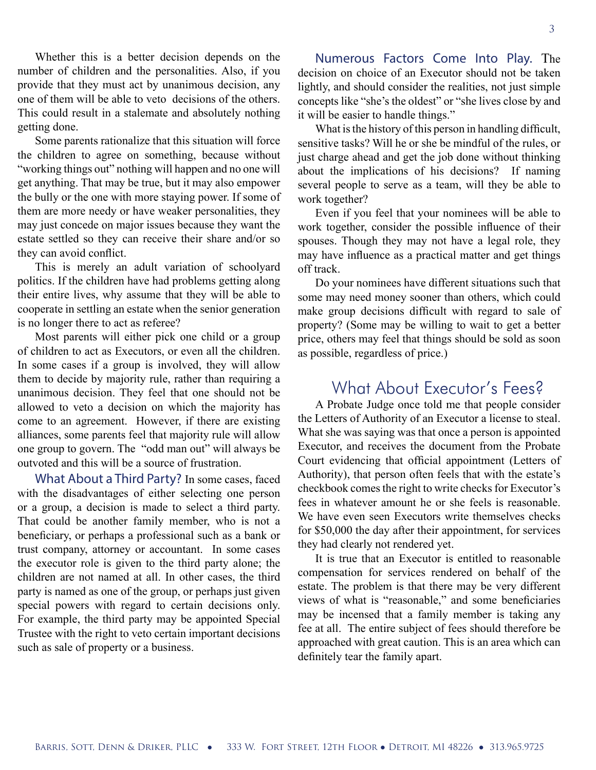Whether this is a better decision depends on the number of children and the personalities. Also, if you provide that they must act by unanimous decision, any one of them will be able to veto decisions of the others. This could result in a stalemate and absolutely nothing getting done.

Some parents rationalize that this situation will force the children to agree on something, because without "working things out" nothing will happen and no one will get anything. That may be true, but it may also empower the bully or the one with more staying power. If some of them are more needy or have weaker personalities, they may just concede on major issues because they want the estate settled so they can receive their share and/or so they can avoid conflict.

This is merely an adult variation of schoolyard politics. If the children have had problems getting along their entire lives, why assume that they will be able to cooperate in settling an estate when the senior generation is no longer there to act as referee?

Most parents will either pick one child or a group of children to act as Executors, or even all the children. In some cases if a group is involved, they will allow them to decide by majority rule, rather than requiring a unanimous decision. They feel that one should not be allowed to veto a decision on which the majority has come to an agreement. However, if there are existing alliances, some parents feel that majority rule will allow one group to govern. The "odd man out" will always be outvoted and this will be a source of frustration.

What About a Third Party? In some cases, faced with the disadvantages of either selecting one person or a group, a decision is made to select a third party. That could be another family member, who is not a beneficiary, or perhaps a professional such as a bank or trust company, attorney or accountant. In some cases the executor role is given to the third party alone; the children are not named at all. In other cases, the third party is named as one of the group, or perhaps just given special powers with regard to certain decisions only. For example, the third party may be appointed Special Trustee with the right to veto certain important decisions such as sale of property or a business.

Numerous Factors Come Into Play. The decision on choice of an Executor should not be taken lightly, and should consider the realities, not just simple concepts like "she's the oldest" or "she lives close by and it will be easier to handle things."

What is the history of this person in handling difficult, sensitive tasks? Will he or she be mindful of the rules, or just charge ahead and get the job done without thinking about the implications of his decisions? If naming several people to serve as a team, will they be able to work together?

Even if you feel that your nominees will be able to work together, consider the possible influence of their spouses. Though they may not have a legal role, they may have influence as a practical matter and get things off track.

Do your nominees have different situations such that some may need money sooner than others, which could make group decisions difficult with regard to sale of property? (Some may be willing to wait to get a better price, others may feel that things should be sold as soon as possible, regardless of price.)

#### What About Executor's Fees?

A Probate Judge once told me that people consider the Letters of Authority of an Executor a license to steal. What she was saying was that once a person is appointed Executor, and receives the document from the Probate Court evidencing that official appointment (Letters of Authority), that person often feels that with the estate's checkbook comes the right to write checks for Executor's fees in whatever amount he or she feels is reasonable. We have even seen Executors write themselves checks for \$50,000 the day after their appointment, for services they had clearly not rendered yet.

It is true that an Executor is entitled to reasonable compensation for services rendered on behalf of the estate. The problem is that there may be very different views of what is "reasonable," and some beneficiaries may be incensed that a family member is taking any fee at all. The entire subject of fees should therefore be approached with great caution. This is an area which can definitely tear the family apart.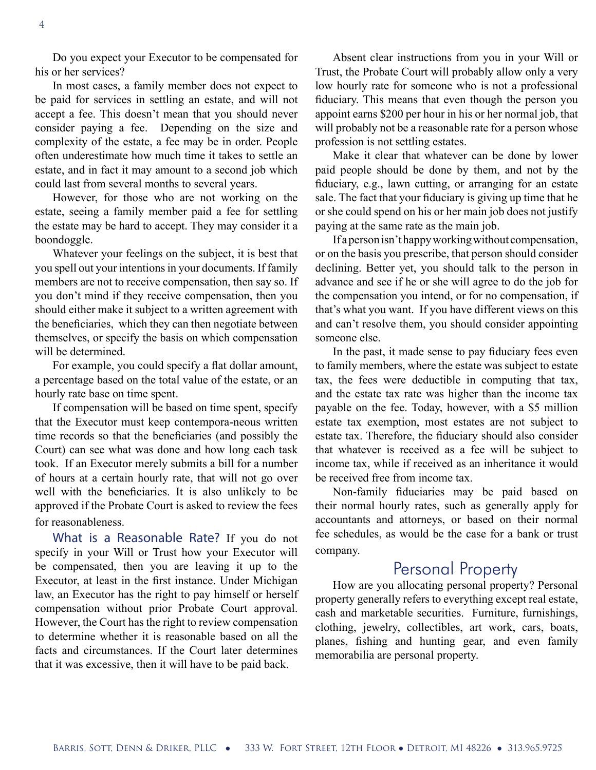Do you expect your Executor to be compensated for his or her services?

In most cases, a family member does not expect to be paid for services in settling an estate, and will not accept a fee. This doesn't mean that you should never consider paying a fee. Depending on the size and complexity of the estate, a fee may be in order. People often underestimate how much time it takes to settle an estate, and in fact it may amount to a second job which could last from several months to several years.

However, for those who are not working on the estate, seeing a family member paid a fee for settling the estate may be hard to accept. They may consider it a boondoggle.

Whatever your feelings on the subject, it is best that you spell out your intentions in your documents. If family members are not to receive compensation, then say so. If you don't mind if they receive compensation, then you should either make it subject to a written agreement with the beneficiaries, which they can then negotiate between themselves, or specify the basis on which compensation will be determined.

For example, you could specify a flat dollar amount, a percentage based on the total value of the estate, or an hourly rate base on time spent.

If compensation will be based on time spent, specify that the Executor must keep contempora-neous written time records so that the beneficiaries (and possibly the Court) can see what was done and how long each task took. If an Executor merely submits a bill for a number of hours at a certain hourly rate, that will not go over well with the beneficiaries. It is also unlikely to be approved if the Probate Court is asked to review the fees for reasonableness.

What is a Reasonable Rate? If you do not specify in your Will or Trust how your Executor will be compensated, then you are leaving it up to the Executor, at least in the first instance. Under Michigan law, an Executor has the right to pay himself or herself compensation without prior Probate Court approval. However, the Court has the right to review compensation to determine whether it is reasonable based on all the facts and circumstances. If the Court later determines that it was excessive, then it will have to be paid back.

Absent clear instructions from you in your Will or Trust, the Probate Court will probably allow only a very low hourly rate for someone who is not a professional fiduciary. This means that even though the person you appoint earns \$200 per hour in his or her normal job, that will probably not be a reasonable rate for a person whose profession is not settling estates.

Make it clear that whatever can be done by lower paid people should be done by them, and not by the fiduciary, e.g., lawn cutting, or arranging for an estate sale. The fact that your fiduciary is giving up time that he or she could spend on his or her main job does not justify paying at the same rate as the main job.

If a person isn't happy working without compensation, or on the basis you prescribe, that person should consider declining. Better yet, you should talk to the person in advance and see if he or she will agree to do the job for the compensation you intend, or for no compensation, if that's what you want. If you have different views on this and can't resolve them, you should consider appointing someone else.

In the past, it made sense to pay fiduciary fees even to family members, where the estate was subject to estate tax, the fees were deductible in computing that tax, and the estate tax rate was higher than the income tax payable on the fee. Today, however, with a \$5 million estate tax exemption, most estates are not subject to estate tax. Therefore, the fiduciary should also consider that whatever is received as a fee will be subject to income tax, while if received as an inheritance it would be received free from income tax.

Non-family fiduciaries may be paid based on their normal hourly rates, such as generally apply for accountants and attorneys, or based on their normal fee schedules, as would be the case for a bank or trust company.

#### Personal Property

How are you allocating personal property? Personal property generally refers to everything except real estate, cash and marketable securities. Furniture, furnishings, clothing, jewelry, collectibles, art work, cars, boats, planes, fishing and hunting gear, and even family memorabilia are personal property.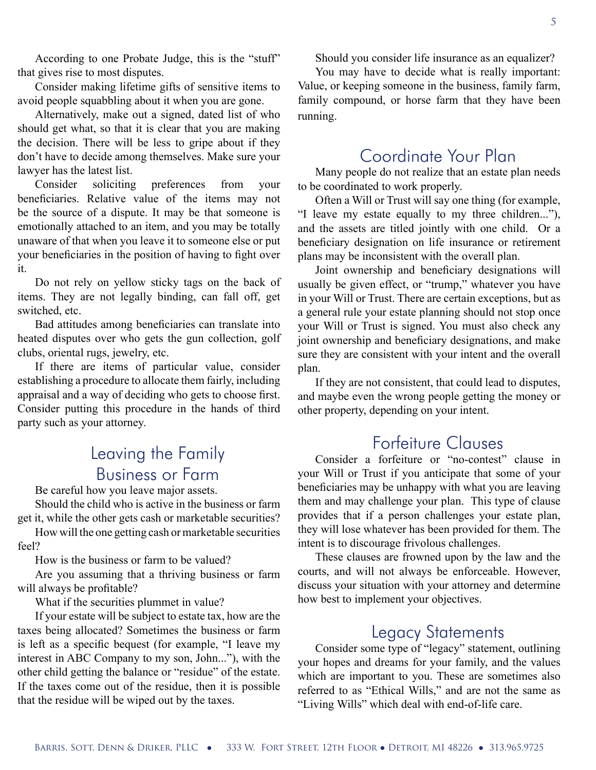According to one Probate Judge, this is the "stuff" that gives rise to most disputes.

Consider making lifetime gifts of sensitive items to avoid people squabbling about it when you are gone.

Alternatively, make out a signed, dated list of who should get what, so that it is clear that you are making the decision. There will be less to gripe about if they don't have to decide among themselves. Make sure your lawyer has the latest list.

Consider soliciting preferences from your beneficiaries. Relative value of the items may not be the source of a dispute. It may be that someone is emotionally attached to an item, and you may be totally unaware of that when you leave it to someone else or put your beneficiaries in the position of having to fight over it.

Do not rely on yellow sticky tags on the back of items. They are not legally binding, can fall off, get switched, etc.

Bad attitudes among beneficiaries can translate into heated disputes over who gets the gun collection, golf clubs, oriental rugs, jewelry, etc.

If there are items of particular value, consider establishing a procedure to allocate them fairly, including appraisal and a way of deciding who gets to choose first. Consider putting this procedure in the hands of third party such as your attorney.

### Leaving the Family Business or Farm

Be careful how you leave major assets.

Should the child who is active in the business or farm get it, while the other gets cash or marketable securities?

How will the one getting cash or marketable securities feel?

How is the business or farm to be valued?

Are you assuming that a thriving business or farm will always be profitable?

What if the securities plummet in value?

If your estate will be subject to estate tax, how are the taxes being allocated? Sometimes the business or farm is left as a specific bequest (for example, "I leave my interest in ABC Company to my son, John..."), with the other child getting the balance or "residue" of the estate. If the taxes come out of the residue, then it is possible that the residue will be wiped out by the taxes.

Should you consider life insurance as an equalizer?

You may have to decide what is really important: Value, or keeping someone in the business, family farm, family compound, or horse farm that they have been running.

### Coordinate Your Plan

Many people do not realize that an estate plan needs to be coordinated to work properly.

Often a Will or Trust will say one thing (for example, "I leave my estate equally to my three children..."), and the assets are titled jointly with one child. Or a beneficiary designation on life insurance or retirement plans may be inconsistent with the overall plan.

Joint ownership and beneficiary designations will usually be given effect, or "trump," whatever you have in your Will or Trust. There are certain exceptions, but as a general rule your estate planning should not stop once your Will or Trust is signed. You must also check any joint ownership and beneficiary designations, and make sure they are consistent with your intent and the overall plan.

If they are not consistent, that could lead to disputes, and maybe even the wrong people getting the money or other property, depending on your intent.

### Forfeiture Clauses

Consider a forfeiture or "no-contest" clause in your Will or Trust if you anticipate that some of your beneficiaries may be unhappy with what you are leaving them and may challenge your plan. This type of clause provides that if a person challenges your estate plan, they will lose whatever has been provided for them. The intent is to discourage frivolous challenges.

These clauses are frowned upon by the law and the courts, and will not always be enforceable. However, discuss your situation with your attorney and determine how best to implement your objectives.

#### Legacy Statements

Consider some type of "legacy" statement, outlining your hopes and dreams for your family, and the values which are important to you. These are sometimes also referred to as "Ethical Wills," and are not the same as "Living Wills" which deal with end-of-life care.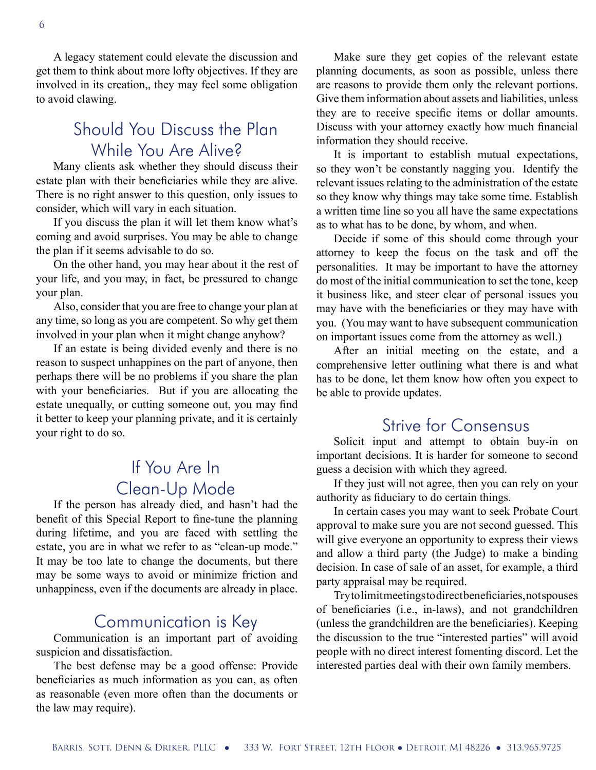A legacy statement could elevate the discussion and get them to think about more lofty objectives. If they are involved in its creation,, they may feel some obligation to avoid clawing.

### Should You Discuss the Plan While You Are Alive?

Many clients ask whether they should discuss their estate plan with their beneficiaries while they are alive. There is no right answer to this question, only issues to consider, which will vary in each situation.

If you discuss the plan it will let them know what's coming and avoid surprises. You may be able to change the plan if it seems advisable to do so.

On the other hand, you may hear about it the rest of your life, and you may, in fact, be pressured to change your plan.

Also, consider that you are free to change your plan at any time, so long as you are competent. So why get them involved in your plan when it might change anyhow?

If an estate is being divided evenly and there is no reason to suspect unhappines on the part of anyone, then perhaps there will be no problems if you share the plan with your beneficiaries. But if you are allocating the estate unequally, or cutting someone out, you may find it better to keep your planning private, and it is certainly your right to do so.

## If You Are In Clean-Up Mode

If the person has already died, and hasn't had the benefit of this Special Report to fine-tune the planning during lifetime, and you are faced with settling the estate, you are in what we refer to as "clean-up mode." It may be too late to change the documents, but there may be some ways to avoid or minimize friction and unhappiness, even if the documents are already in place.

#### Communication is Key

Communication is an important part of avoiding suspicion and dissatisfaction.

The best defense may be a good offense: Provide beneficiaries as much information as you can, as often as reasonable (even more often than the documents or the law may require).

Make sure they get copies of the relevant estate planning documents, as soon as possible, unless there are reasons to provide them only the relevant portions. Give them information about assets and liabilities, unless they are to receive specific items or dollar amounts. Discuss with your attorney exactly how much financial information they should receive.

It is important to establish mutual expectations, so they won't be constantly nagging you. Identify the relevant issues relating to the administration of the estate so they know why things may take some time. Establish a written time line so you all have the same expectations as to what has to be done, by whom, and when.

Decide if some of this should come through your attorney to keep the focus on the task and off the personalities. It may be important to have the attorney do most of the initial communication to set the tone, keep it business like, and steer clear of personal issues you may have with the beneficiaries or they may have with you. (You may want to have subsequent communication on important issues come from the attorney as well.)

After an initial meeting on the estate, and a comprehensive letter outlining what there is and what has to be done, let them know how often you expect to be able to provide updates.

### Strive for Consensus

Solicit input and attempt to obtain buy-in on important decisions. It is harder for someone to second guess a decision with which they agreed.

If they just will not agree, then you can rely on your authority as fiduciary to do certain things.

In certain cases you may want to seek Probate Court approval to make sure you are not second guessed. This will give everyone an opportunity to express their views and allow a third party (the Judge) to make a binding decision. In case of sale of an asset, for example, a third party appraisal may be required.

Try to limit meetings to direct beneficiaries, not spouses of beneficiaries (i.e., in-laws), and not grandchildren (unless the grandchildren are the beneficiaries). Keeping the discussion to the true "interested parties" will avoid people with no direct interest fomenting discord. Let the interested parties deal with their own family members.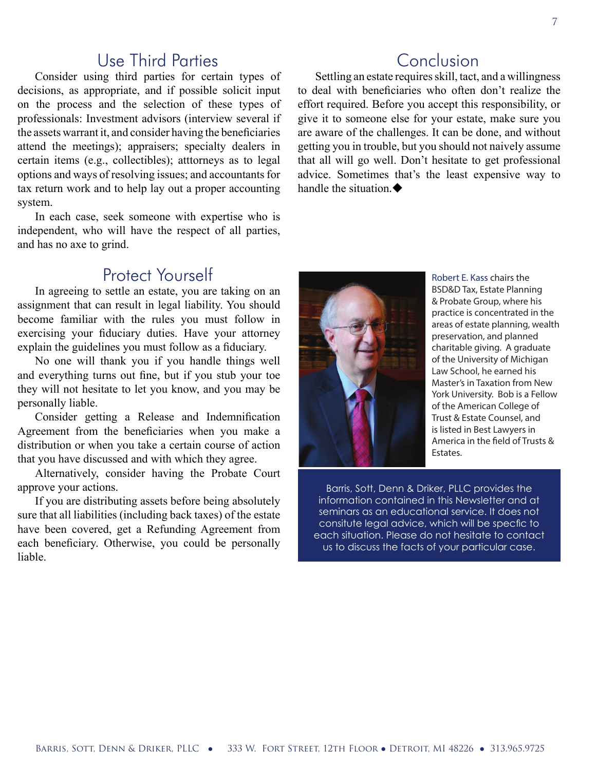#### Use Third Parties

Consider using third parties for certain types of decisions, as appropriate, and if possible solicit input on the process and the selection of these types of professionals: Investment advisors (interview several if the assets warrant it, and consider having the beneficiaries attend the meetings); appraisers; specialty dealers in certain items (e.g., collectibles); atttorneys as to legal options and ways of resolving issues; and accountants for tax return work and to help lay out a proper accounting system.

In each case, seek someone with expertise who is independent, who will have the respect of all parties, and has no axe to grind.

#### Protect Yourself

In agreeing to settle an estate, you are taking on an assignment that can result in legal liability. You should become familiar with the rules you must follow in exercising your fiduciary duties. Have your attorney explain the guidelines you must follow as a fiduciary.

No one will thank you if you handle things well and everything turns out fine, but if you stub your toe they will not hesitate to let you know, and you may be personally liable.

Consider getting a Release and Indemnification Agreement from the beneficiaries when you make a distribution or when you take a certain course of action that you have discussed and with which they agree.

Alternatively, consider having the Probate Court approve your actions.

If you are distributing assets before being absolutely sure that all liabilities (including back taxes) of the estate have been covered, get a Refunding Agreement from each beneficiary. Otherwise, you could be personally liable.

#### Conclusion

Settling an estate requires skill, tact, and a willingness to deal with beneficiaries who often don't realize the effort required. Before you accept this responsibility, or give it to someone else for your estate, make sure you are aware of the challenges. It can be done, and without getting you in trouble, but you should not naively assume that all will go well. Don't hesitate to get professional advice. Sometimes that's the least expensive way to handle the situation.



Robert E. Kass chairs the BSD&D Tax, Estate Planning & Probate Group, where his practice is concentrated in the areas of estate planning, wealth preservation, and planned charitable giving. A graduate of the University of Michigan Law School, he earned his Master's in Taxation from New York University. Bob is a Fellow of the American College of Trust & Estate Counsel, and is listed in Best Lawyers in America in the field of Trusts & Estates.

Barris, Sott, Denn & Driker, PLLC provides the information contained in this Newsletter and at seminars as an educational service. It does not consitute legal advice, which will be specfic to each situation. Please do not hesitate to contact us to discuss the facts of your particular case.